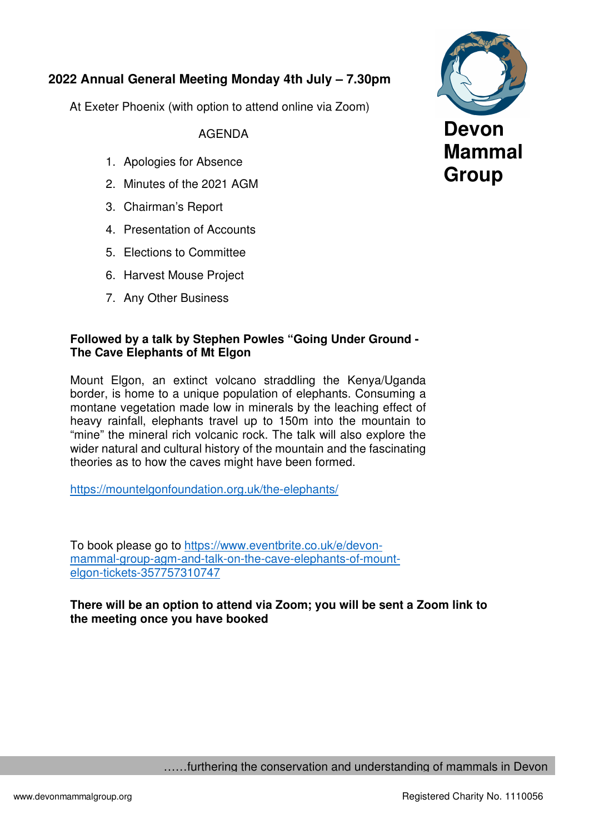## **2022 Annual General Meeting Monday 4th July – 7.30pm**

At Exeter Phoenix (with option to attend online via Zoom)

AGENDA

- 1. Apologies for Absence
- 2. Minutes of the 2021 AGM
- 3. Chairman's Report
- 4. Presentation of Accounts
- 5. Elections to Committee
- 6. Harvest Mouse Project
- 7. Any Other Business

#### **Followed by a talk by Stephen Powles "Going Under Ground - The Cave Elephants of Mt Elgon**

Mount Elgon, an extinct volcano straddling the Kenya/Uganda border, is home to a unique population of elephants. Consuming a montane vegetation made low in minerals by the leaching effect of heavy rainfall, elephants travel up to 150m into the mountain to "mine" the mineral rich volcanic rock. The talk will also explore the wider natural and cultural history of the mountain and the fascinating theories as to how the caves might have been formed.

https://mountelgonfoundation.org.uk/the-elephants/

To book please go to https://www.eventbrite.co.uk/e/devonmammal-group-agm-and-talk-on-the-cave-elephants-of-mountelgon-tickets-357757310747

**There will be an option to attend via Zoom; you will be sent a Zoom link to the meeting once you have booked** 



……furthering the conservation and understanding of mammals in Devon